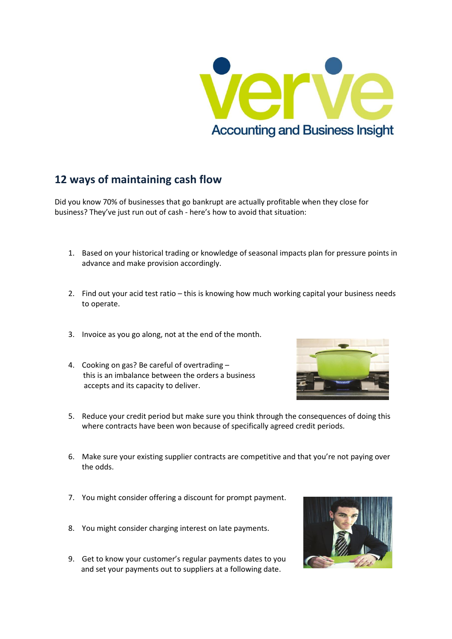

## **12 ways of maintaining cash flow**

Did you know 70% of businesses that go bankrupt are actually profitable when they close for business? They've just run out of cash - here's how to avoid that situation:

- 1. Based on your historical trading or knowledge of seasonal impacts plan for pressure points in advance and make provision accordingly.
- 2. Find out your acid test ratio this is knowing how much working capital your business needs to operate.
- 3. Invoice as you go along, not at the end of the month.
- 4. Cooking on gas? Be careful of overtrading this is an imbalance between the orders a business accepts and its capacity to deliver.



- 5. Reduce your credit period but make sure you think through the consequences of doing this where contracts have been won because of specifically agreed credit periods.
- 6. Make sure your existing supplier contracts are competitive and that you're not paying over the odds.
- 7. You might consider offering a discount for prompt payment.
- 8. You might consider charging interest on late payments.
- 9. Get to know your customer's regular payments dates to you and set your payments out to suppliers at a following date.